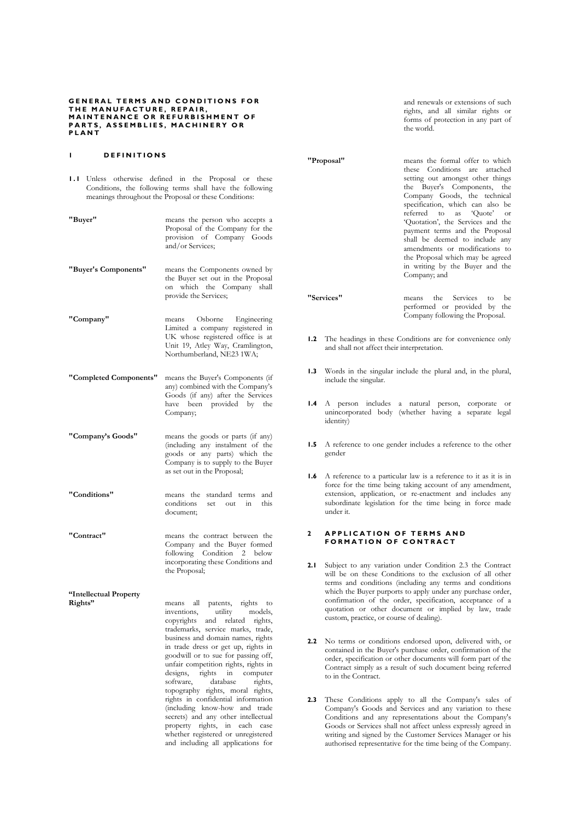#### GENERAL TERMS AND CONDITIONS FOR THE MANUFACTURE, REPAIR, MAINTENANCE OR REFURBISHMENT OF PARTS, ASSEMBLIES, MACHINERY OR **PLANT**

#### I DEFINITIONS

- 1.1 Unless otherwise defined in the Proposal or these Conditions, the following terms shall have the following meanings throughout the Proposal or these Conditions:
- "Buyer" means the person who accepts a Proposal of the Company for the provision of Company Goods and/or Services;
- "Buyer's Components" means the Components owned by the Buyer set out in the Proposal on which the Company shall provide the Services;
- "Company" means Osborne Engineering Limited a company registered in UK whose registered office is at Unit 19, Atley Way, Cramlington, Northumberland, NE23 1WA;
- "Completed Components" means the Buyer's Components (if any) combined with the Company's Goods (if any) after the Services have been provided by the Company;
- "Company's Goods" means the goods or parts (if any) (including any instalment of the goods or any parts) which the Company is to supply to the Buyer as set out in the Proposal;
- "Conditions" means the standard terms and conditions set out in this document;
- "Contract" means the contract between the Company and the Buyer formed following Condition 2 below incorporating these Conditions and the Proposal;

"Intellectual Property<br>Rights" means all patents, rights to<br>inventions, utility models, inventions, copyrights and related rights, trademarks, service marks, trade, business and domain names, rights in trade dress or get up, rights in goodwill or to sue for passing off, unfair competition rights, rights in designs, rights in computer software, database rights, topography rights, moral rights, rights in confidential information (including know-how and trade secrets) and any other intellectual property rights, in each case whether registered or unregistered and including all applications for

and renewals or extensions of such rights, and all similar rights or forms of protection in any part of the world.

"Proposal" means the formal offer to which these Conditions are attached setting out amongst other things the Buyer's Components, the Company Goods, the technical specification, which can also be referred to as 'Quote' or 'Quotation', the Services and the payment terms and the Proposal shall be deemed to include any amendments or modifications to the Proposal which may be agreed in writing by the Buyer and the Company; and

"Services" means the Services to be performed or provided by the Company following the Proposal.

- 1.2 The headings in these Conditions are for convenience only and shall not affect their interpretation.
- 1.3 Words in the singular include the plural and, in the plural, include the singular.
- 1.4 A person includes a natural person, corporate or unincorporated body (whether having a separate legal identity)
- 1.5 A reference to one gender includes a reference to the other gender
- 1.6 A reference to a particular law is a reference to it as it is in force for the time being taking account of any amendment, extension, application, or re-enactment and includes any subordinate legislation for the time being in force made under it.

#### 2 A P PLICATION OF TERMS AND FORMATION OF CONTRACT

- 2.1 Subject to any variation under Condition 2.3 the Contract will be on these Conditions to the exclusion of all other terms and conditions (including any terms and conditions which the Buyer purports to apply under any purchase order, confirmation of the order, specification, acceptance of a quotation or other document or implied by law, trade custom, practice, or course of dealing).
- 2.2 No terms or conditions endorsed upon, delivered with, or contained in the Buyer's purchase order, confirmation of the order, specification or other documents will form part of the Contract simply as a result of such document being referred to in the Contract.
- 2.3 These Conditions apply to all the Company's sales of Company's Goods and Services and any variation to these Conditions and any representations about the Company's Goods or Services shall not affect unless expressly agreed in writing and signed by the Customer Services Manager or his authorised representative for the time being of the Company.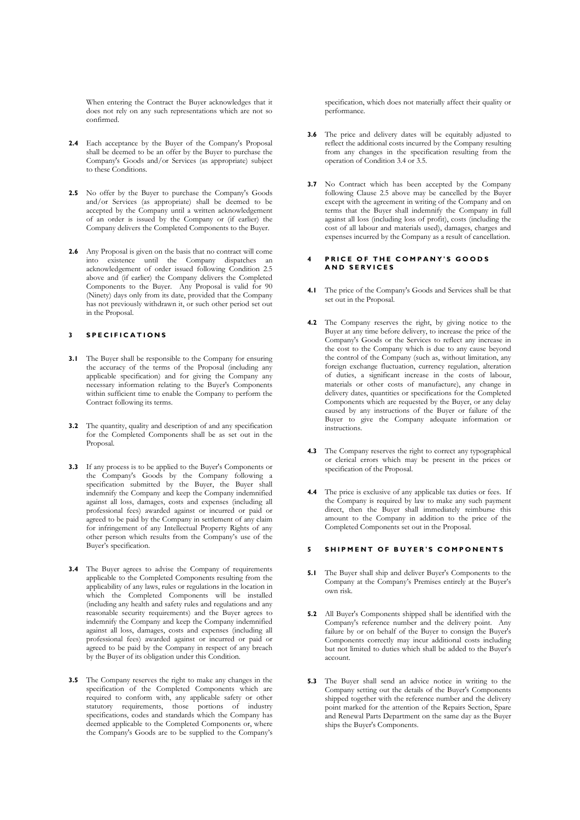When entering the Contract the Buyer acknowledges that it does not rely on any such representations which are not so confirmed.

- 2.4 Each acceptance by the Buyer of the Company's Proposal shall be deemed to be an offer by the Buyer to purchase the Company's Goods and/or Services (as appropriate) subject to these Conditions.
- 2.5 No offer by the Buyer to purchase the Company's Goods and/or Services (as appropriate) shall be deemed to be accepted by the Company until a written acknowledgement of an order is issued by the Company or (if earlier) the Company delivers the Completed Components to the Buyer.
- 2.6 Any Proposal is given on the basis that no contract will come into existence until the Company dispatches an acknowledgement of order issued following Condition 2.5 above and (if earlier) the Company delivers the Completed Components to the Buyer. Any Proposal is valid for 90 (Ninety) days only from its date, provided that the Company has not previously withdrawn it, or such other period set out in the Proposal.

### 3 SPECIFICATIONS

- 3.1 The Buyer shall be responsible to the Company for ensuring the accuracy of the terms of the Proposal (including any applicable specification) and for giving the Company any necessary information relating to the Buyer's Components within sufficient time to enable the Company to perform the Contract following its terms.
- 3.2 The quantity, quality and description of and any specification for the Completed Components shall be as set out in the Proposal.
- 3.3 If any process is to be applied to the Buyer's Components or the Company's Goods by the Company following a specification submitted by the Buyer, the Buyer shall indemnify the Company and keep the Company indemnified against all loss, damages, costs and expenses (including all professional fees) awarded against or incurred or paid or agreed to be paid by the Company in settlement of any claim for infringement of any Intellectual Property Rights of any other person which results from the Company's use of the Buyer's specification.
- 3.4 The Buyer agrees to advise the Company of requirements applicable to the Completed Components resulting from the applicability of any laws, rules or regulations in the location in which the Completed Components will be installed (including any health and safety rules and regulations and any reasonable security requirements) and the Buyer agrees to indemnify the Company and keep the Company indemnified against all loss, damages, costs and expenses (including all professional fees) awarded against or incurred or paid or agreed to be paid by the Company in respect of any breach by the Buyer of its obligation under this Condition.
- 3.5 The Company reserves the right to make any changes in the specification of the Completed Components which are required to conform with, any applicable safety or other statutory requirements, those portions of industry specifications, codes and standards which the Company has deemed applicable to the Completed Components or, where the Company's Goods are to be supplied to the Company's

specification, which does not materially affect their quality or performance.

- 3.6 The price and delivery dates will be equitably adjusted to reflect the additional costs incurred by the Company resulting from any changes in the specification resulting from the operation of Condition 3.4 or 3.5.
- 3.7 No Contract which has been accepted by the Company following Clause 2.5 above may be cancelled by the Buyer except with the agreement in writing of the Company and on terms that the Buyer shall indemnify the Company in full against all loss (including loss of profit), costs (including the cost of all labour and materials used), damages, charges and expenses incurred by the Company as a result of cancellation.

#### 4 PRICE OF THE COMPANY'S GOODS AND SERVICES

- 4.1 The price of the Company's Goods and Services shall be that set out in the Proposal.
- 4.2 The Company reserves the right, by giving notice to the Buyer at any time before delivery, to increase the price of the Company's Goods or the Services to reflect any increase in the cost to the Company which is due to any cause beyond the control of the Company (such as, without limitation, any foreign exchange fluctuation, currency regulation, alteration of duties, a significant increase in the costs of labour, materials or other costs of manufacture), any change in delivery dates, quantities or specifications for the Completed Components which are requested by the Buyer, or any delay caused by any instructions of the Buyer or failure of the Buyer to give the Company adequate information or instructions.
- 4.3 The Company reserves the right to correct any typographical or clerical errors which may be present in the prices or specification of the Proposal.
- 4.4 The price is exclusive of any applicable tax duties or fees. If the Company is required by law to make any such payment direct, then the Buyer shall immediately reimburse this amount to the Company in addition to the price of the Completed Components set out in the Proposal.

## 5 SHIPMENT OF BUYER'S COMPONENTS

- 5.1 The Buyer shall ship and deliver Buyer's Components to the Company at the Company's Premises entirely at the Buyer's own risk.
- 5.2 All Buyer's Components shipped shall be identified with the Company's reference number and the delivery point. Any failure by or on behalf of the Buyer to consign the Buyer's Components correctly may incur additional costs including but not limited to duties which shall be added to the Buyer's account.
- 5.3 The Buyer shall send an advice notice in writing to the Company setting out the details of the Buyer's Components shipped together with the reference number and the delivery point marked for the attention of the Repairs Section, Spare and Renewal Parts Department on the same day as the Buyer ships the Buyer's Components.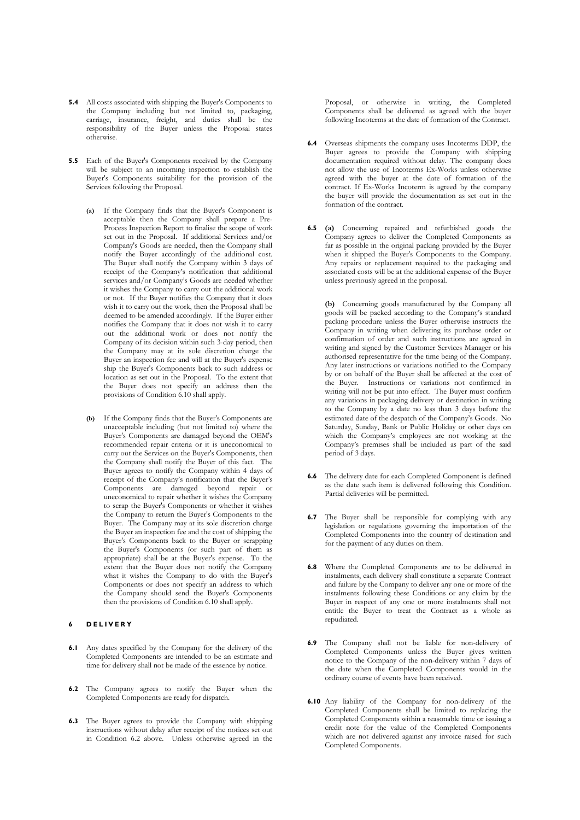- 5.4 All costs associated with shipping the Buyer's Components to the Company including but not limited to, packaging, carriage, insurance, freight, and duties shall be the responsibility of the Buyer unless the Proposal states otherwise.
- 5.5 Each of the Buyer's Components received by the Company will be subject to an incoming inspection to establish the Buyer's Components suitability for the provision of the Services following the Proposal.
	- (a) If the Company finds that the Buyer's Component is acceptable then the Company shall prepare a Pre-Process Inspection Report to finalise the scope of work set out in the Proposal. If additional Services and/or Company's Goods are needed, then the Company shall notify the Buyer accordingly of the additional cost. The Buyer shall notify the Company within 3 days of receipt of the Company's notification that additional services and/or Company's Goods are needed whether it wishes the Company to carry out the additional work or not. If the Buyer notifies the Company that it does wish it to carry out the work, then the Proposal shall be deemed to be amended accordingly. If the Buyer either notifies the Company that it does not wish it to carry out the additional work or does not notify the Company of its decision within such 3-day period, then the Company may at its sole discretion charge the Buyer an inspection fee and will at the Buyer's expense ship the Buyer's Components back to such address or location as set out in the Proposal. To the extent that the Buyer does not specify an address then the provisions of Condition 6.10 shall apply.
	- (b) If the Company finds that the Buyer's Components are unacceptable including (but not limited to) where the Buyer's Components are damaged beyond the OEM's recommended repair criteria or it is uneconomical to carry out the Services on the Buyer's Components, then the Company shall notify the Buyer of this fact. The Buyer agrees to notify the Company within 4 days of receipt of the Company's notification that the Buyer's Components are damaged beyond repair or uneconomical to repair whether it wishes the Company to scrap the Buyer's Components or whether it wishes the Company to return the Buyer's Components to the Buyer. The Company may at its sole discretion charge the Buyer an inspection fee and the cost of shipping the Buyer's Components back to the Buyer or scrapping the Buyer's Components (or such part of them as appropriate) shall be at the Buyer's expense. To the extent that the Buyer does not notify the Company what it wishes the Company to do with the Buyer's Components or does not specify an address to which the Company should send the Buyer's Components then the provisions of Condition 6.10 shall apply.

# 6 DELIVERY

- 6.1 Any dates specified by the Company for the delivery of the Completed Components are intended to be an estimate and time for delivery shall not be made of the essence by notice.
- 6.2 The Company agrees to notify the Buyer when the Completed Components are ready for dispatch.
- 6.3 The Buyer agrees to provide the Company with shipping instructions without delay after receipt of the notices set out in Condition 6.2 above. Unless otherwise agreed in the

Proposal, or otherwise in writing, the Completed Components shall be delivered as agreed with the buyer following Incoterms at the date of formation of the Contract.

- 6.4 Overseas shipments the company uses Incoterms DDP, the Buyer agrees to provide the Company with shipping documentation required without delay. The company does not allow the use of Incoterms Ex-Works unless otherwise agreed with the buyer at the date of formation of the contract. If Ex-Works Incoterm is agreed by the company the buyer will provide the documentation as set out in the formation of the contract.
- 6.5 (a) Concerning repaired and refurbished goods the Company agrees to deliver the Completed Components as far as possible in the original packing provided by the Buyer when it shipped the Buyer's Components to the Company. Any repairs or replacement required to the packaging and associated costs will be at the additional expense of the Buyer unless previously agreed in the proposal.

(b) Concerning goods manufactured by the Company all goods will be packed according to the Company's standard packing procedure unless the Buyer otherwise instructs the Company in writing when delivering its purchase order or confirmation of order and such instructions are agreed in writing and signed by the Customer Services Manager or his authorised representative for the time being of the Company. Any later instructions or variations notified to the Company by or on behalf of the Buyer shall be affected at the cost of the Buyer. Instructions or variations not confirmed in writing will not be put into effect. The Buyer must confirm any variations in packaging delivery or destination in writing to the Company by a date no less than 3 days before the estimated date of the despatch of the Company's Goods. No Saturday, Sunday, Bank or Public Holiday or other days on which the Company's employees are not working at the Company's premises shall be included as part of the said period of 3 days.

- 6.6 The delivery date for each Completed Component is defined as the date such item is delivered following this Condition. Partial deliveries will be permitted.
- 6.7 The Buyer shall be responsible for complying with any legislation or regulations governing the importation of the Completed Components into the country of destination and for the payment of any duties on them.
- 6.8 Where the Completed Components are to be delivered in instalments, each delivery shall constitute a separate Contract and failure by the Company to deliver any one or more of the instalments following these Conditions or any claim by the Buyer in respect of any one or more instalments shall not entitle the Buyer to treat the Contract as a whole as repudiated.
- 6.9 The Company shall not be liable for non-delivery of Completed Components unless the Buyer gives written notice to the Company of the non-delivery within 7 days of the date when the Completed Components would in the ordinary course of events have been received.
- 6.10 Any liability of the Company for non-delivery of the Completed Components shall be limited to replacing the Completed Components within a reasonable time or issuing a credit note for the value of the Completed Components which are not delivered against any invoice raised for such Completed Components.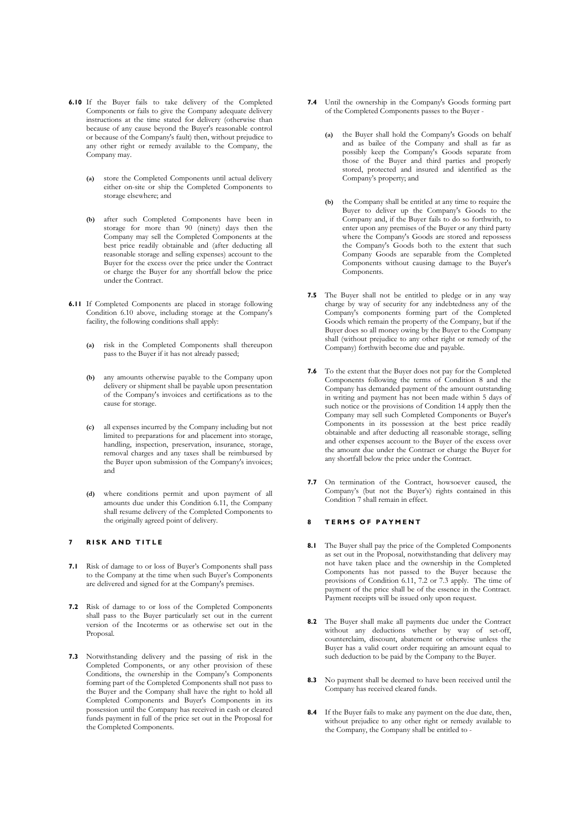- 6.10 If the Buyer fails to take delivery of the Completed Components or fails to give the Company adequate delivery instructions at the time stated for delivery (otherwise than because of any cause beyond the Buyer's reasonable control or because of the Company's fault) then, without prejudice to any other right or remedy available to the Company, the Company may.
	- (a) store the Completed Components until actual delivery either on-site or ship the Completed Components to storage elsewhere; and
	- (b) after such Completed Components have been in storage for more than 90 (ninety) days then the Company may sell the Completed Components at the best price readily obtainable and (after deducting all reasonable storage and selling expenses) account to the Buyer for the excess over the price under the Contract or charge the Buyer for any shortfall below the price under the Contract.
- 6.11 If Completed Components are placed in storage following Condition 6.10 above, including storage at the Company's facility, the following conditions shall apply:
	- (a) risk in the Completed Components shall thereupon pass to the Buyer if it has not already passed;
	- (b) any amounts otherwise payable to the Company upon delivery or shipment shall be payable upon presentation of the Company's invoices and certifications as to the cause for storage.
	- (c) all expenses incurred by the Company including but not limited to preparations for and placement into storage, handling, inspection, preservation, insurance, storage, removal charges and any taxes shall be reimbursed by the Buyer upon submission of the Company's invoices; and
	- (d) where conditions permit and upon payment of all amounts due under this Condition 6.11, the Company shall resume delivery of the Completed Components to the originally agreed point of delivery.

## 7 RISK AND TITLE

- 7.1 Risk of damage to or loss of Buyer's Components shall pass to the Company at the time when such Buyer's Components are delivered and signed for at the Company's premises.
- 7.2 Risk of damage to or loss of the Completed Components shall pass to the Buyer particularly set out in the current version of the Incoterms or as otherwise set out in the Proposal.
- 7.3 Notwithstanding delivery and the passing of risk in the Completed Components, or any other provision of these Conditions, the ownership in the Company's Components forming part of the Completed Components shall not pass to the Buyer and the Company shall have the right to hold all Completed Components and Buyer's Components in its possession until the Company has received in cash or cleared funds payment in full of the price set out in the Proposal for the Completed Components.
- 7.4 Until the ownership in the Company's Goods forming part of the Completed Components passes to the Buyer -
	- (a) the Buyer shall hold the Company's Goods on behalf and as bailee of the Company and shall as far as possibly keep the Company's Goods separate from those of the Buyer and third parties and properly stored, protected and insured and identified as the Company's property; and
	- (b) the Company shall be entitled at any time to require the Buyer to deliver up the Company's Goods to the Company and, if the Buyer fails to do so forthwith, to enter upon any premises of the Buyer or any third party where the Company's Goods are stored and repossess the Company's Goods both to the extent that such Company Goods are separable from the Completed Components without causing damage to the Buyer's Components.
- 7.5 The Buyer shall not be entitled to pledge or in any way charge by way of security for any indebtedness any of the Company's components forming part of the Completed Goods which remain the property of the Company, but if the Buyer does so all money owing by the Buyer to the Company shall (without prejudice to any other right or remedy of the Company) forthwith become due and payable.
- 7.6 To the extent that the Buyer does not pay for the Completed Components following the terms of Condition 8 and the Company has demanded payment of the amount outstanding in writing and payment has not been made within 5 days of such notice or the provisions of Condition 14 apply then the Company may sell such Completed Components or Buyer's Components in its possession at the best price readily obtainable and after deducting all reasonable storage, selling and other expenses account to the Buyer of the excess over the amount due under the Contract or charge the Buyer for any shortfall below the price under the Contract.
- 7.7 On termination of the Contract, howsoever caused, the Company's (but not the Buyer's) rights contained in this Condition 7 shall remain in effect.

#### 8 TERMS OF PAYMENT

- 8.1 The Buyer shall pay the price of the Completed Components as set out in the Proposal, notwithstanding that delivery may not have taken place and the ownership in the Completed Components has not passed to the Buyer because the provisions of Condition 6.11, 7.2 or 7.3 apply. The time of payment of the price shall be of the essence in the Contract. Payment receipts will be issued only upon request.
- 8.2 The Buyer shall make all payments due under the Contract without any deductions whether by way of set-off, counterclaim, discount, abatement or otherwise unless the Buyer has a valid court order requiring an amount equal to such deduction to be paid by the Company to the Buyer.
- 8.3 No payment shall be deemed to have been received until the Company has received cleared funds.
- 8.4 If the Buyer fails to make any payment on the due date, then, without prejudice to any other right or remedy available to the Company, the Company shall be entitled to -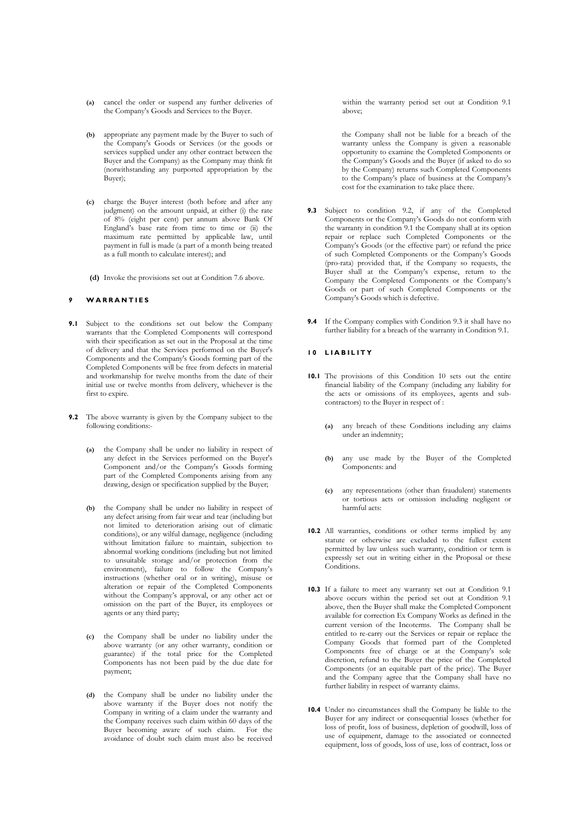- (a) cancel the order or suspend any further deliveries of the Company's Goods and Services to the Buyer.
- (b) appropriate any payment made by the Buyer to such of the Company's Goods or Services (or the goods or services supplied under any other contract between the Buyer and the Company) as the Company may think fit (notwithstanding any purported appropriation by the Buyer);
- (c) charge the Buyer interest (both before and after any judgment) on the amount unpaid, at either (i) the rate of 8% (eight per cent) per annum above Bank Of England's base rate from time to time or (ii) the maximum rate permitted by applicable law, until payment in full is made (a part of a month being treated as a full month to calculate interest); and
- (d) Invoke the provisions set out at Condition 7.6 above.

## W A R R A N T I E S

- 9.1 Subject to the conditions set out below the Company warrants that the Completed Components will correspond with their specification as set out in the Proposal at the time of delivery and that the Services performed on the Buyer's Components and the Company's Goods forming part of the Completed Components will be free from defects in material and workmanship for twelve months from the date of their initial use or twelve months from delivery, whichever is the first to expire.
- 9.2 The above warranty is given by the Company subject to the following conditions:-
	- (a) the Company shall be under no liability in respect of any defect in the Services performed on the Buyer's Component and/or the Company's Goods forming part of the Completed Components arising from any drawing, design or specification supplied by the Buyer;
	- (b) the Company shall be under no liability in respect of any defect arising from fair wear and tear (including but not limited to deterioration arising out of climatic conditions), or any wilful damage, negligence (including without limitation failure to maintain, subjection to abnormal working conditions (including but not limited to unsuitable storage and/or protection from the environment), failure to follow the Company's instructions (whether oral or in writing), misuse or alteration or repair of the Completed Components without the Company's approval, or any other act or omission on the part of the Buyer, its employees or agents or any third party;
	- (c) the Company shall be under no liability under the above warranty (or any other warranty, condition or guarantee) if the total price for the Completed Components has not been paid by the due date for payment;
	- (d) the Company shall be under no liability under the above warranty if the Buyer does not notify the Company in writing of a claim under the warranty and the Company receives such claim within 60 days of the Buyer becoming aware of such claim. For the avoidance of doubt such claim must also be received

within the warranty period set out at Condition 9.1 above;

the Company shall not be liable for a breach of the warranty unless the Company is given a reasonable opportunity to examine the Completed Components or the Company's Goods and the Buyer (if asked to do so by the Company) returns such Completed Components to the Company's place of business at the Company's cost for the examination to take place there.

- 9.3 Subject to condition 9.2, if any of the Completed Components or the Company's Goods do not conform with the warranty in condition 9.1 the Company shall at its option repair or replace such Completed Components or the Company's Goods (or the effective part) or refund the price of such Completed Components or the Company's Goods (pro-rata) provided that, if the Company so requests, the Buyer shall at the Company's expense, return to the Company the Completed Components or the Company's Goods or part of such Completed Components or the Company's Goods which is defective.
- 9.4 If the Company complies with Condition 9.3 it shall have no further liability for a breach of the warranty in Condition 9.1.

#### 10 LIABILITY

- 10.1 The provisions of this Condition 10 sets out the entire financial liability of the Company (including any liability for the acts or omissions of its employees, agents and subcontractors) to the Buyer in respect of :
	- (a) any breach of these Conditions including any claims under an indemnity;
	- (b) any use made by the Buyer of the Completed Components: and
	- (c) any representations (other than fraudulent) statements or tortious acts or omission including negligent or harmful acts:
- 10.2 All warranties, conditions or other terms implied by any statute or otherwise are excluded to the fullest extent permitted by law unless such warranty, condition or term is expressly set out in writing either in the Proposal or these Conditions.
- 10.3 If a failure to meet any warranty set out at Condition 9.1 above occurs within the period set out at Condition 9.1 above, then the Buyer shall make the Completed Component available for correction Ex Company Works as defined in the current version of the Incoterms. The Company shall be entitled to re-carry out the Services or repair or replace the Company Goods that formed part of the Completed Components free of charge or at the Company's sole discretion, refund to the Buyer the price of the Completed Components (or an equitable part of the price). The Buyer and the Company agree that the Company shall have no further liability in respect of warranty claims.
- 10.4 Under no circumstances shall the Company be liable to the Buyer for any indirect or consequential losses (whether for loss of profit, loss of business, depletion of goodwill, loss of use of equipment, damage to the associated or connected equipment, loss of goods, loss of use, loss of contract, loss or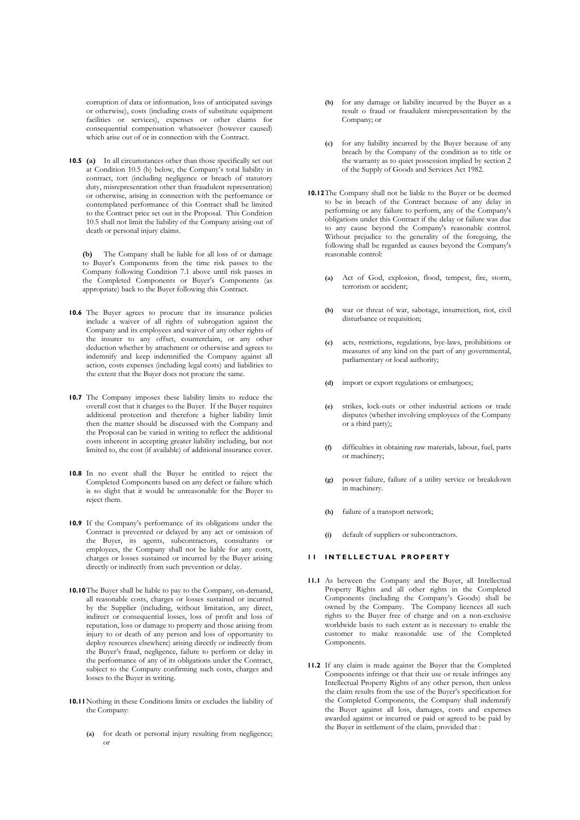corruption of data or information, loss of anticipated savings or otherwise), costs (including costs of substitute equipment facilities or services), expenses or other claims for consequential compensation whatsoever (however caused) which arise out of or in connection with the Contract.

10.5 (a) In all circumstances other than those specifically set out at Condition 10.5 (b) below, the Company's total liability in contract, tort (including negligence or breach of statutory duty, misrepresentation other than fraudulent representation) or otherwise, arising in connection with the performance or contemplated performance of this Contract shall be limited to the Contract price set out in the Proposal. This Condition 10.5 shall not limit the liability of the Company arising out of death or personal injury claims.

 (b) The Company shall be liable for all loss of or damage to Buyer's Components from the time risk passes to the Company following Condition 7.1 above until risk passes in the Completed Components or Buyer's Components (as appropriate) back to the Buyer following this Contract.

- 10.6 The Buyer agrees to procure that its insurance policies include a waiver of all rights of subrogation against the Company and its employees and waiver of any other rights of the insurer to any offset, counterclaim, or any other deduction whether by attachment or otherwise and agrees to indemnify and keep indemnified the Company against all action, costs expenses (including legal costs) and liabilities to the extent that the Buyer does not procure the same.
- 10.7 The Company imposes these liability limits to reduce the overall cost that it charges to the Buyer. If the Buyer requires additional protection and therefore a higher liability limit then the matter should be discussed with the Company and the Proposal can be varied in writing to reflect the additional costs inherent in accepting greater liability including, but not limited to, the cost (if available) of additional insurance cover.
- 10.8 In no event shall the Buyer be entitled to reject the Completed Components based on any defect or failure which is so slight that it would be unreasonable for the Buyer to reject them.
- 10.9 If the Company's performance of its obligations under the Contract is prevented or delayed by any act or omission of the Buyer, its agents, subcontractors, consultants or employees, the Company shall not be liable for any costs, charges or losses sustained or incurred by the Buyer arising directly or indirectly from such prevention or delay.
- 10.10The Buyer shall be liable to pay to the Company, on-demand, all reasonable costs, charges or losses sustained or incurred by the Supplier (including, without limitation, any direct, indirect or consequential losses, loss of profit and loss of reputation, loss or damage to property and those arising from injury to or death of any person and loss of opportunity to deploy resources elsewhere) arising directly or indirectly from the Buyer's fraud, negligence, failure to perform or delay in the performance of any of its obligations under the Contract, subject to the Company confirming such costs, charges and losses to the Buyer in writing.
- 10.11Nothing in these Conditions limits or excludes the liability of the Company:
	- (a) for death or personal injury resulting from negligence; or
- (b) for any damage or liability incurred by the Buyer as a result o fraud or fraudulent misrepresentation by the Company; or
- (c) for any liability incurred by the Buyer because of any breach by the Company of the condition as to title or the warranty as to quiet possession implied by section 2 of the Supply of Goods and Services Act 1982.
- 10.12The Company shall not be liable to the Buyer or be deemed to be in breach of the Contract because of any delay in performing or any failure to perform, any of the Company's obligations under this Contract if the delay or failure was due to any cause beyond the Company's reasonable control. Without prejudice to the generality of the foregoing, the following shall be regarded as causes beyond the Company's reasonable control:
	- (a) Act of God, explosion, flood, tempest, fire, storm, terrorism or accident;
	- (b) war or threat of war, sabotage, insurrection, riot, civil disturbance or requisition;
	- (c) acts, restrictions, regulations, bye-laws, prohibitions or measures of any kind on the part of any governmental, parliamentary or local authority;
	- (d) import or export regulations or embargoes;
	- (e) strikes, lock-outs or other industrial actions or trade disputes (whether involving employees of the Company or a third party);
	- (f) difficulties in obtaining raw materials, labour, fuel, parts or machinery;
	- (g) power failure, failure of a utility service or breakdown in machinery.
	- (h) failure of a transport network;
	- default of suppliers or subcontractors.

#### **11 INTELLECTUAL PROPERTY**

- 11.1 As between the Company and the Buyer, all Intellectual Property Rights and all other rights in the Completed Components (including the Company's Goods) shall be owned by the Company. The Company licences all such rights to the Buyer free of charge and on a non-exclusive worldwide basis to such extent as is necessary to enable the customer to make reasonable use of the Completed Components.
- 11.2 If any claim is made against the Buyer that the Completed Components infringe or that their use or resale infringes any Intellectual Property Rights of any other person, then unless the claim results from the use of the Buyer's specification for the Completed Components, the Company shall indemnify the Buyer against all loss, damages, costs and expenses awarded against or incurred or paid or agreed to be paid by the Buyer in settlement of the claim, provided that :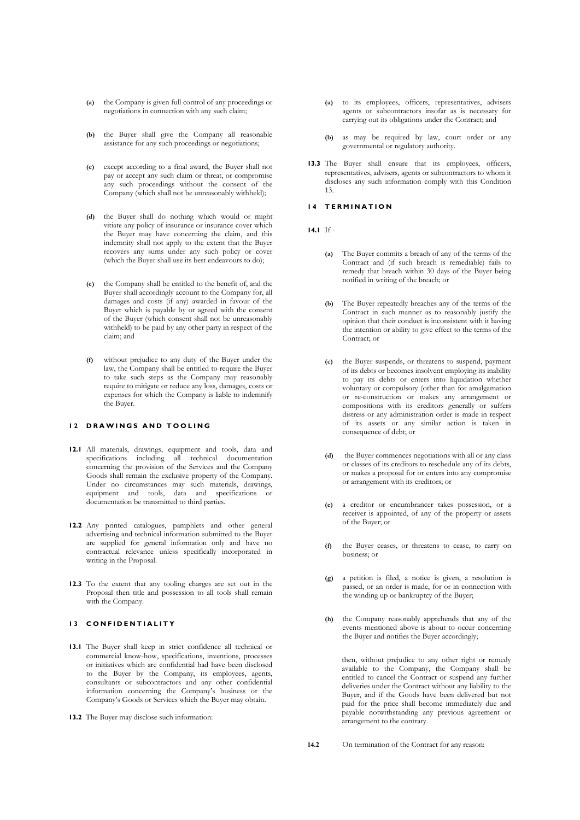- (a) the Company is given full control of any proceedings or negotiations in connection with any such claim;
- (b) the Buyer shall give the Company all reasonable assistance for any such proceedings or negotiations;
- (c) except according to a final award, the Buyer shall not pay or accept any such claim or threat, or compromise any such proceedings without the consent of the Company (which shall not be unreasonably withheld);
- (d) the Buyer shall do nothing which would or might vitiate any policy of insurance or insurance cover which the Buyer may have concerning the claim, and this indemnity shall not apply to the extent that the Buyer recovers any sums under any such policy or cover (which the Buyer shall use its best endeavours to do);
- (e) the Company shall be entitled to the benefit of, and the Buyer shall accordingly account to the Company for, all damages and costs (if any) awarded in favour of the Buyer which is payable by or agreed with the consent of the Buyer (which consent shall not be unreasonably withheld) to be paid by any other party in respect of the claim; and
- (f) without prejudice to any duty of the Buyer under the law, the Company shall be entitled to require the Buyer to take such steps as the Company may reasonably require to mitigate or reduce any loss, damages, costs or expenses for which the Company is liable to indemnify the Buyer.

## 12 DRAWINGS AND TOOLING

- 12.1 All materials, drawings, equipment and tools, data and specifications including all technical documentation concerning the provision of the Services and the Company Goods shall remain the exclusive property of the Company. Under no circumstances may such materials, drawings, equipment and tools, data and specifications or documentation be transmitted to third parties.
- 12.2 Any printed catalogues, pamphlets and other general advertising and technical information submitted to the Buyer are supplied for general information only and have no contractual relevance unless specifically incorporated in writing in the Proposal.
- 12.3 To the extent that any tooling charges are set out in the Proposal then title and possession to all tools shall remain with the Company.

# 13 CONFIDENTIALITY

- 13.1 The Buyer shall keep in strict confidence all technical or commercial know-how, specifications, inventions, processes or initiatives which are confidential had have been disclosed to the Buyer by the Company, its employees, agents, consultants or subcontractors and any other confidential information concerning the Company's business or the Company's Goods or Services which the Buyer may obtain.
- 13.2 The Buyer may disclose such information:
- (a) to its employees, officers, representatives, advisers agents or subcontractors insofar as is necessary for carrying out its obligations under the Contract; and
- (b) as may be required by law, court order or any governmental or regulatory authority.
- 13.3 The Buyer shall ensure that its employees, officers, representatives, advisers, agents or subcontractors to whom it discloses any such information comply with this Condition 13.

## 14 TERMINATION

- 14.1 If
	- (a) The Buyer commits a breach of any of the terms of the Contract and (if such breach is remediable) fails to remedy that breach within 30 days of the Buyer being notified in writing of the breach; or
	- (b) The Buyer repeatedly breaches any of the terms of the Contract in such manner as to reasonably justify the opinion that their conduct is inconsistent with it having the intention or ability to give effect to the terms of the Contract; or
	- (c) the Buyer suspends, or threatens to suspend, payment of its debts or becomes insolvent employing its inability to pay its debts or enters into liquidation whether voluntary or compulsory (other than for amalgamation or re-construction or makes any arrangement or compositions with its creditors generally or suffers distress or any administration order is made in respect of its assets or any similar action is taken in consequence of debt; or
	- (d) the Buyer commences negotiations with all or any class or classes of its creditors to reschedule any of its debts, or makes a proposal for or enters into any compromise or arrangement with its creditors; or
	- (e) a creditor or encumbrancer takes possession, or a receiver is appointed, of any of the property or assets of the Buyer; or
	- (f) the Buyer ceases, or threatens to cease, to carry on business; or
	- (g) a petition is filed, a notice is given, a resolution is passed, or an order is made, for or in connection with the winding up or bankruptcy of the Buyer;
	- (h) the Company reasonably apprehends that any of the events mentioned above is about to occur concerning the Buyer and notifies the Buyer accordingly;

then, without prejudice to any other right or remedy available to the Company, the Company shall be entitled to cancel the Contract or suspend any further deliveries under the Contract without any liability to the Buyer, and if the Goods have been delivered but not paid for the price shall become immediately due and payable notwithstanding any previous agreement or arrangement to the contrary.

14.2 On termination of the Contract for any reason: